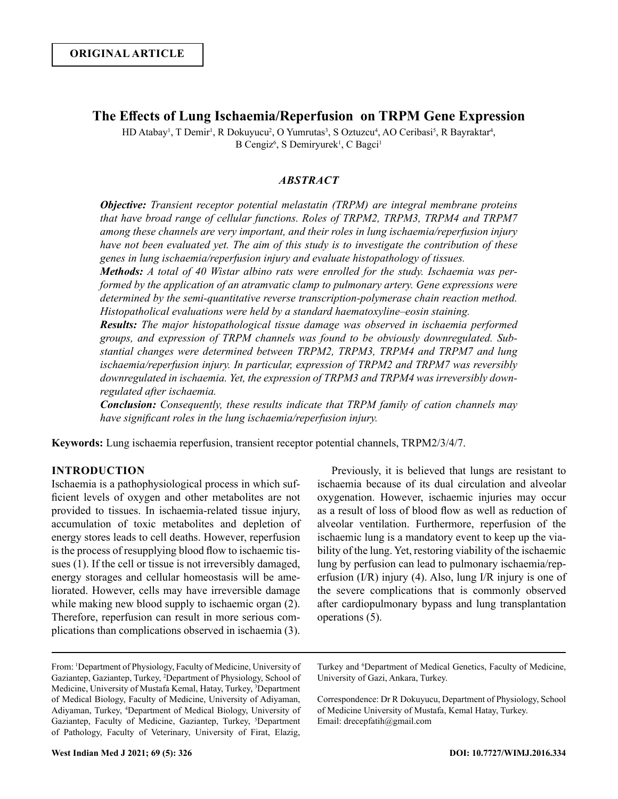# **The Effects of Lung Ischaemia/Reperfusion on TRPM Gene Expression**

HD Atabay<sup>1</sup>, T Demir<sup>1</sup>, R Dokuyucu<sup>2</sup>, O Yumrutas<sup>3</sup>, S Oztuzcu<sup>4</sup>, AO Ceribasi<sup>5</sup>, R Bayraktar<sup>4</sup>, B Cengiz<sup>6</sup>, S Demiryurek<sup>1</sup>, C Bagci<sup>1</sup>

# *ABSTRACT*

*Objective: Transient receptor potential melastatin (TRPM) are integral membrane proteins that have broad range of cellular functions. Roles of TRPM2, TRPM3, TRPM4 and TRPM7 among these channels are very important, and their roles in lung ischaemia/reperfusion injury have not been evaluated yet. The aim of this study is to investigate the contribution of these genes in lung ischaemia/reperfusion injury and evaluate histopathology of tissues.*

*Methods: A total of 40 Wistar albino rats were enrolled for the study. Ischaemia was performed by the application of an atramvatic clamp to pulmonary artery. Gene expressions were determined by the semi-quantitative reverse transcription-polymerase chain reaction method. Histopatholical evaluations were held by a standard haematoxyline–eosin staining.* 

*Results: The major histopathological tissue damage was observed in ischaemia performed groups, and expression of TRPM channels was found to be obviously downregulated. Substantial changes were determined between TRPM2, TRPM3, TRPM4 and TRPM7 and lung ischaemia/reperfusion injury. In particular, expression of TRPM2 and TRPM7 was reversibly downregulated in ischaemia. Yet, the expression of TRPM3 and TRPM4 was irreversibly downregulated after ischaemia.* 

*Conclusion: Consequently, these results indicate that TRPM family of cation channels may have significant roles in the lung ischaemia/reperfusion injury.*

**Keywords:** Lung ischaemia reperfusion, transient receptor potential channels, TRPM2/3/4/7.

# **INTRODUCTION**

Ischaemia is a pathophysiological process in which sufficient levels of oxygen and other metabolites are not provided to tissues. In ischaemia-related tissue injury, accumulation of toxic metabolites and depletion of energy stores leads to cell deaths. However, reperfusion is the process of resupplying blood flow to ischaemic tissues (1). If the cell or tissue is not irreversibly damaged, energy storages and cellular homeostasis will be ameliorated. However, cells may have irreversible damage while making new blood supply to ischaemic organ (2). Therefore, reperfusion can result in more serious complications than complications observed in ischaemia (3).

Previously, it is believed that lungs are resistant to ischaemia because of its dual circulation and alveolar oxygenation. However, ischaemic injuries may occur as a result of loss of blood flow as well as reduction of alveolar ventilation. Furthermore, reperfusion of the ischaemic lung is a mandatory event to keep up the viability of the lung. Yet, restoring viability of the ischaemic lung by perfusion can lead to pulmonary ischaemia/reperfusion (I/R) injury (4). Also, lung I/R injury is one of the severe complications that is commonly observed after cardiopulmonary bypass and lung transplantation operations (5).

From: <sup>1</sup> Department of Physiology, Faculty of Medicine, University of Gaziantep, Gaziantep, Turkey, 2 Department of Physiology, School of Medicine, University of Mustafa Kemal, Hatay, Turkey, <sup>3</sup>Department of Medical Biology, Faculty of Medicine, University of Adiyaman, Adiyaman, Turkey, <sup>4</sup> Department of Medical Biology, University of Gaziantep, Faculty of Medicine, Gaziantep, Turkey, <sup>5</sup>Department of Pathology, Faculty of Veterinary, University of Firat, Elazig,

Turkey and <sup>6</sup>Department of Medical Genetics, Faculty of Medicine, University of Gazi, Ankara, Turkey.

Correspondence: Dr R Dokuyucu, Department of Physiology, School of Medicine University of Mustafa, Kemal Hatay, Turkey. Email: drecepfatih@gmail.com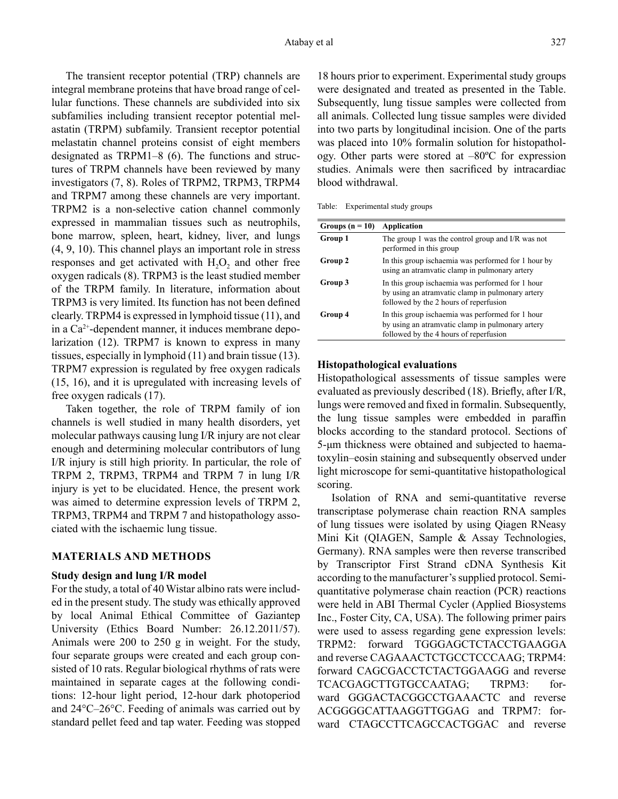The transient receptor potential (TRP) channels are integral membrane proteins that have broad range of cellular functions. These channels are subdivided into six subfamilies including transient receptor potential melastatin (TRPM) subfamily. Transient receptor potential melastatin channel proteins consist of eight members designated as TRPM1–8 (6). The functions and structures of TRPM channels have been reviewed by many investigators (7, 8). Roles of TRPM2, TRPM3, TRPM4 and TRPM7 among these channels are very important. TRPM2 is a non-selective cation channel commonly expressed in mammalian tissues such as neutrophils, bone marrow, spleen, heart, kidney, liver, and lungs (4, 9, 10). This channel plays an important role in stress responses and get activated with  $H_2O_2$  and other free oxygen radicals (8). TRPM3 is the least studied member of the TRPM family. In literature, information about TRPM3 is very limited. Its function has not been defined clearly. TRPM4 is expressed in lymphoid tissue (11), and in a Ca2+-dependent manner, it induces membrane depolarization (12). TRPM7 is known to express in many tissues, especially in lymphoid (11) and brain tissue (13). TRPM7 expression is regulated by free oxygen radicals (15, 16), and it is upregulated with increasing levels of free oxygen radicals (17).

Taken together, the role of TRPM family of ion channels is well studied in many health disorders, yet molecular pathways causing lung I/R injury are not clear enough and determining molecular contributors of lung I/R injury is still high priority. In particular, the role of TRPM 2, TRPM3, TRPM4 and TRPM 7 in lung I/R injury is yet to be elucidated. Hence, the present work was aimed to determine expression levels of TRPM 2, TRPM3, TRPM4 and TRPM 7 and histopathology associated with the ischaemic lung tissue.

### **MATERIALS AND METHODS**

#### **Study design and lung I/R model**

For the study, a total of 40 Wistar albino rats were included in the present study. The study was ethically approved by local Animal Ethical Committee of Gaziantep University (Ethics Board Number: 26.12.2011/57). Animals were 200 to 250 g in weight. For the study, four separate groups were created and each group consisted of 10 rats. Regular biological rhythms of rats were maintained in separate cages at the following conditions: 12-hour light period, 12-hour dark photoperiod and 24°C–26°C. Feeding of animals was carried out by standard pellet feed and tap water. Feeding was stopped 18 hours prior to experiment. Experimental study groups were designated and treated as presented in the Table. Subsequently, lung tissue samples were collected from all animals. Collected lung tissue samples were divided into two parts by longitudinal incision. One of the parts was placed into 10% formalin solution for histopathology. Other parts were stored at –80ºC for expression studies. Animals were then sacrificed by intracardiac blood withdrawal.

Table: Experimental study groups

| Groups $(n = 10)$ | Application                                                                                                                                     |
|-------------------|-------------------------------------------------------------------------------------------------------------------------------------------------|
| Group 1           | The group 1 was the control group and I/R was not<br>performed in this group                                                                    |
| Group 2           | In this group is chaemia was performed for 1 hour by<br>using an atramvatic clamp in pulmonary artery                                           |
| Group 3           | In this group is chaemia was performed for 1 hour<br>by using an atramvatic clamp in pulmonary artery<br>followed by the 2 hours of reperfusion |
| Group 4           | In this group is chaemia was performed for 1 hour<br>by using an atramvatic clamp in pulmonary artery<br>followed by the 4 hours of reperfusion |

#### **Histopathological evaluations**

Histopathological assessments of tissue samples were evaluated as previously described (18). Briefly, after I/R, lungs were removed and fixed in formalin. Subsequently, the lung tissue samples were embedded in paraffin blocks according to the standard protocol. Sections of 5-μm thickness were obtained and subjected to haematoxylin–eosin staining and subsequently observed under light microscope for semi-quantitative histopathological scoring.

Isolation of RNA and semi-quantitative reverse transcriptase polymerase chain reaction RNA samples of lung tissues were isolated by using Qiagen RNeasy Mini Kit (QIAGEN, Sample & Assay Technologies, Germany). RNA samples were then reverse transcribed by Transcriptor First Strand cDNA Synthesis Kit according to the manufacturer's supplied protocol. Semiquantitative polymerase chain reaction (PCR) reactions were held in ABI Thermal Cycler (Applied Biosystems Inc., Foster City, CA, USA). The following primer pairs were used to assess regarding gene expression levels: TRPM2: forward TGGGAGCTCTACCTGAAGGA and reverse CAGAAACTCTGCCTCCCAAG; TRPM4: forward CAGCGACCTCTACTGGAAGG and reverse TCACGAGCTTGTGCCAATAG; TRPM3: forward GGGACTACGGCCTGAAACTC and reverse ACGGGGCATTAAGGTTGGAG and TRPM7: forward CTAGCCTTCAGCCACTGGAC and reverse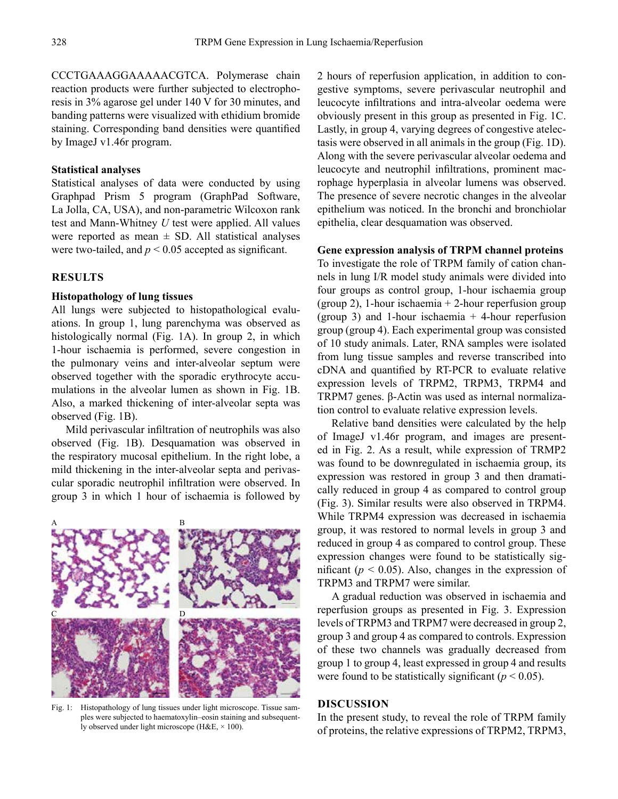CCCTGAAAGGAAAAACGTCA. Polymerase chain reaction products were further subjected to electrophoresis in 3% agarose gel under 140 V for 30 minutes, and banding patterns were visualized with ethidium bromide staining. Corresponding band densities were quantified by ImageJ v1.46r program.

#### **Statistical analyses**

Statistical analyses of data were conducted by using Graphpad Prism 5 program (GraphPad Software, La Jolla, CA, USA), and non-parametric Wilcoxon rank test and Mann-Whitney *U* test were applied. All values were reported as mean  $\pm$  SD. All statistical analyses were two-tailed, and  $p < 0.05$  accepted as significant.

# **RESULTS**

### **Histopathology of lung tissues**

All lungs were subjected to histopathological evaluations. In group 1, lung parenchyma was observed as histologically normal (Fig. 1A). In group 2, in which 1-hour ischaemia is performed, severe congestion in the pulmonary veins and inter-alveolar septum were observed together with the sporadic erythrocyte accumulations in the alveolar lumen as shown in Fig. 1B. Also, a marked thickening of inter-alveolar septa was observed (Fig. 1B).

Mild perivascular infiltration of neutrophils was also observed (Fig. 1B). Desquamation was observed in the respiratory mucosal epithelium. In the right lobe, a mild thickening in the inter-alveolar septa and perivascular sporadic neutrophil infiltration were observed. In group 3 in which 1 hour of ischaemia is followed by



Fig. 1: Histopathology of lung tissues under light microscope. Tissue samples were subjected to haematoxylin–eosin staining and subsequently observed under light microscope (H&E, × 100).

2 hours of reperfusion application, in addition to congestive symptoms, severe perivascular neutrophil and leucocyte infiltrations and intra-alveolar oedema were obviously present in this group as presented in Fig. 1C. Lastly, in group 4, varying degrees of congestive atelectasis were observed in all animals in the group (Fig. 1D). Along with the severe perivascular alveolar oedema and leucocyte and neutrophil infiltrations, prominent macrophage hyperplasia in alveolar lumens was observed. The presence of severe necrotic changes in the alveolar epithelium was noticed. In the bronchi and bronchiolar epithelia, clear desquamation was observed.

#### **Gene expression analysis of TRPM channel proteins**

To investigate the role of TRPM family of cation channels in lung I/R model study animals were divided into four groups as control group, 1-hour ischaemia group (group 2), 1-hour ischaemia + 2-hour reperfusion group (group 3) and 1-hour ischaemia  $+$  4-hour reperfusion group (group 4). Each experimental group was consisted of 10 study animals. Later, RNA samples were isolated from lung tissue samples and reverse transcribed into cDNA and quantified by RT-PCR to evaluate relative expression levels of TRPM2, TRPM3, TRPM4 and TRPM7 genes. β-Actin was used as internal normalization control to evaluate relative expression levels.

Relative band densities were calculated by the help of ImageJ v1.46r program, and images are presented in Fig. 2. As a result, while expression of TRMP2 was found to be downregulated in ischaemia group, its expression was restored in group 3 and then dramatically reduced in group 4 as compared to control group (Fig. 3). Similar results were also observed in TRPM4. While TRPM4 expression was decreased in ischaemia group, it was restored to normal levels in group 3 and reduced in group 4 as compared to control group. These expression changes were found to be statistically significant ( $p < 0.05$ ). Also, changes in the expression of TRPM3 and TRPM7 were similar.

A gradual reduction was observed in ischaemia and reperfusion groups as presented in Fig. 3. Expression levels of TRPM3 and TRPM7 were decreased in group 2, group 3 and group 4 as compared to controls. Expression of these two channels was gradually decreased from group 1 to group 4, least expressed in group 4 and results were found to be statistically significant  $(p < 0.05)$ .

### **DISCUSSION**

In the present study, to reveal the role of TRPM family of proteins, the relative expressions of TRPM2, TRPM3,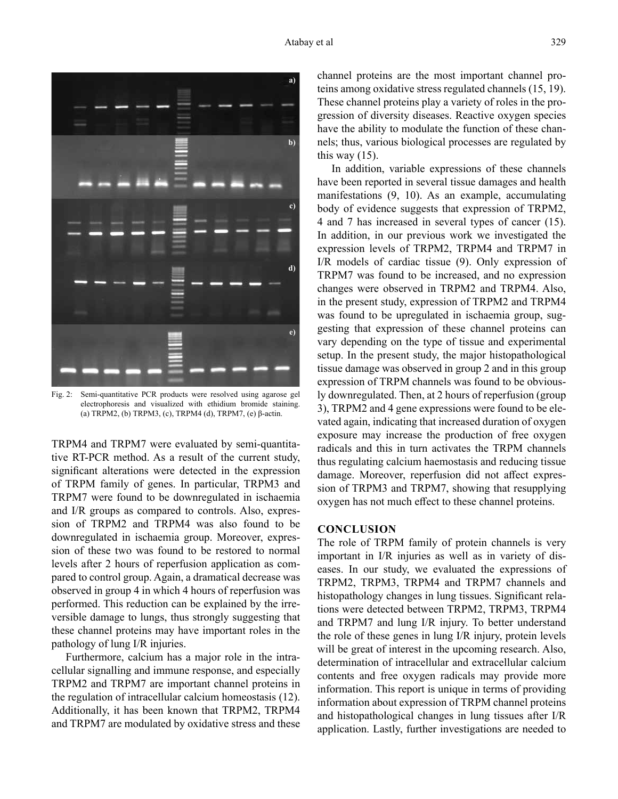

Fig. 2: Semi-quantitative PCR products were resolved using agarose gel electrophoresis and visualized with ethidium bromide staining. (a) TRPM2, (b) TRPM3, (c), TRPM4 (d), TRPM7, (e) β-actin.

TRPM4 and TRPM7 were evaluated by semi-quantitative RT-PCR method. As a result of the current study, significant alterations were detected in the expression of TRPM family of genes. In particular, TRPM3 and TRPM7 were found to be downregulated in ischaemia and I/R groups as compared to controls. Also, expression of TRPM2 and TRPM4 was also found to be downregulated in ischaemia group. Moreover, expression of these two was found to be restored to normal levels after 2 hours of reperfusion application as compared to control group. Again, a dramatical decrease was observed in group 4 in which 4 hours of reperfusion was performed. This reduction can be explained by the irreversible damage to lungs, thus strongly suggesting that these channel proteins may have important roles in the pathology of lung I/R injuries.

Furthermore, calcium has a major role in the intracellular signalling and immune response, and especially TRPM2 and TRPM7 are important channel proteins in the regulation of intracellular calcium homeostasis (12). Additionally, it has been known that TRPM2, TRPM4 and TRPM7 are modulated by oxidative stress and these channel proteins are the most important channel proteins among oxidative stress regulated channels (15, 19). These channel proteins play a variety of roles in the progression of diversity diseases. Reactive oxygen species have the ability to modulate the function of these channels; thus, various biological processes are regulated by this way  $(15)$ .

In addition, variable expressions of these channels have been reported in several tissue damages and health manifestations (9, 10). As an example, accumulating body of evidence suggests that expression of TRPM2, 4 and 7 has increased in several types of cancer (15). In addition, in our previous work we investigated the expression levels of TRPM2, TRPM4 and TRPM7 in I/R models of cardiac tissue (9). Only expression of TRPM7 was found to be increased, and no expression changes were observed in TRPM2 and TRPM4. Also, in the present study, expression of TRPM2 and TRPM4 was found to be upregulated in ischaemia group, suggesting that expression of these channel proteins can vary depending on the type of tissue and experimental setup. In the present study, the major histopathological tissue damage was observed in group 2 and in this group expression of TRPM channels was found to be obviously downregulated. Then, at 2 hours of reperfusion (group 3), TRPM2 and 4 gene expressions were found to be elevated again, indicating that increased duration of oxygen exposure may increase the production of free oxygen radicals and this in turn activates the TRPM channels thus regulating calcium haemostasis and reducing tissue damage. Moreover, reperfusion did not affect expression of TRPM3 and TRPM7, showing that resupplying oxygen has not much effect to these channel proteins.

# **CONCLUSION**

The role of TRPM family of protein channels is very important in I/R injuries as well as in variety of diseases. In our study, we evaluated the expressions of TRPM2, TRPM3, TRPM4 and TRPM7 channels and histopathology changes in lung tissues. Significant relations were detected between TRPM2, TRPM3, TRPM4 and TRPM7 and lung I/R injury. To better understand the role of these genes in lung I/R injury, protein levels will be great of interest in the upcoming research. Also, determination of intracellular and extracellular calcium contents and free oxygen radicals may provide more information. This report is unique in terms of providing information about expression of TRPM channel proteins and histopathological changes in lung tissues after I/R application. Lastly, further investigations are needed to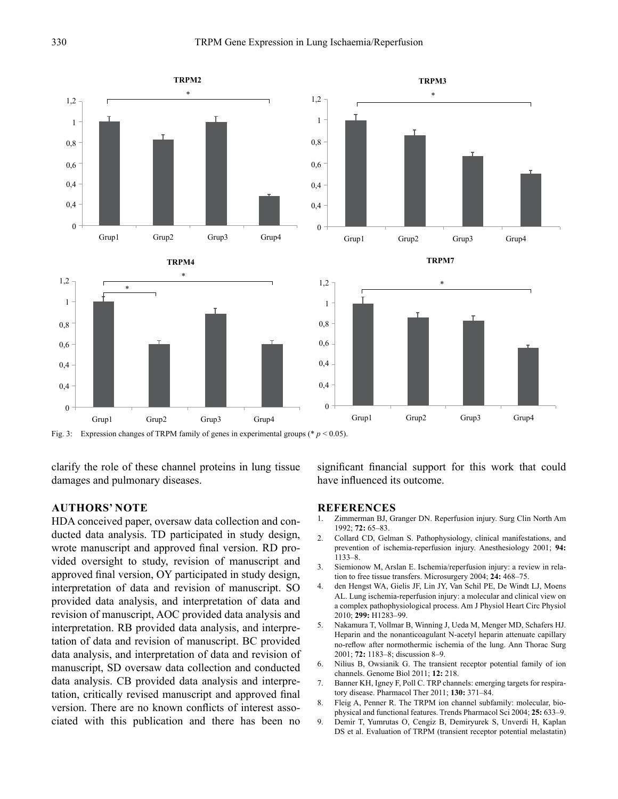

Fig. 3: Expression changes of TRPM family of genes in experimental groups ( $p < 0.05$ ).

clarify the role of these channel proteins in lung tissue damages and pulmonary diseases.

# **AUTHORS' NOTE**

HDA conceived paper, oversaw data collection and conducted data analysis. TD participated in study design, wrote manuscript and approved final version. RD provided oversight to study, revision of manuscript and approved final version, OY participated in study design, interpretation of data and revision of manuscript. SO provided data analysis, and interpretation of data and revision of manuscript, AOC provided data analysis and interpretation. RB provided data analysis, and interpretation of data and revision of manuscript. BC provided data analysis, and interpretation of data and revision of manuscript, SD oversaw data collection and conducted data analysis. CB provided data analysis and interpretation, critically revised manuscript and approved final version. There are no known conflicts of interest associated with this publication and there has been no

significant financial support for this work that could have influenced its outcome.

### **REFERENCES**

- 1. Zimmerman BJ, Granger DN. Reperfusion injury. Surg Clin North Am 1992; **72:** 65–83.
- 2. Collard CD, Gelman S. Pathophysiology, clinical manifestations, and prevention of ischemia-reperfusion injury. Anesthesiology 2001; **94:** 1133–8.
- 3. Siemionow M, Arslan E. Ischemia/reperfusion injury: a review in relation to free tissue transfers. Microsurgery 2004; **24:** 468–75.
- 4. den Hengst WA, Gielis JF, Lin JY, Van Schil PE, De Windt LJ, Moens AL. Lung ischemia-reperfusion injury: a molecular and clinical view on a complex pathophysiological process. Am J Physiol Heart Circ Physiol 2010; **299:** H1283–99.
- 5. Nakamura T, Vollmar B, Winning J, Ueda M, Menger MD, Schafers HJ. Heparin and the nonanticoagulant N-acetyl heparin attenuate capillary no-reflow after normothermic ischemia of the lung. Ann Thorac Surg 2001; **72:** 1183–8; discussion 8–9.
- 6. Nilius B, Owsianik G. The transient receptor potential family of ion channels. Genome Biol 2011; **12:** 218.
- 7. Banner KH, Igney F, Poll C. TRP channels: emerging targets for respiratory disease. Pharmacol Ther 2011; **130:** 371–84.
- 8. Fleig A, Penner R. The TRPM ion channel subfamily: molecular, biophysical and functional features. Trends Pharmacol Sci 2004; **25:** 633–9.
- 9. Demir T, Yumrutas O, Cengiz B, Demiryurek S, Unverdi H, Kaplan DS et al. Evaluation of TRPM (transient receptor potential melastatin)